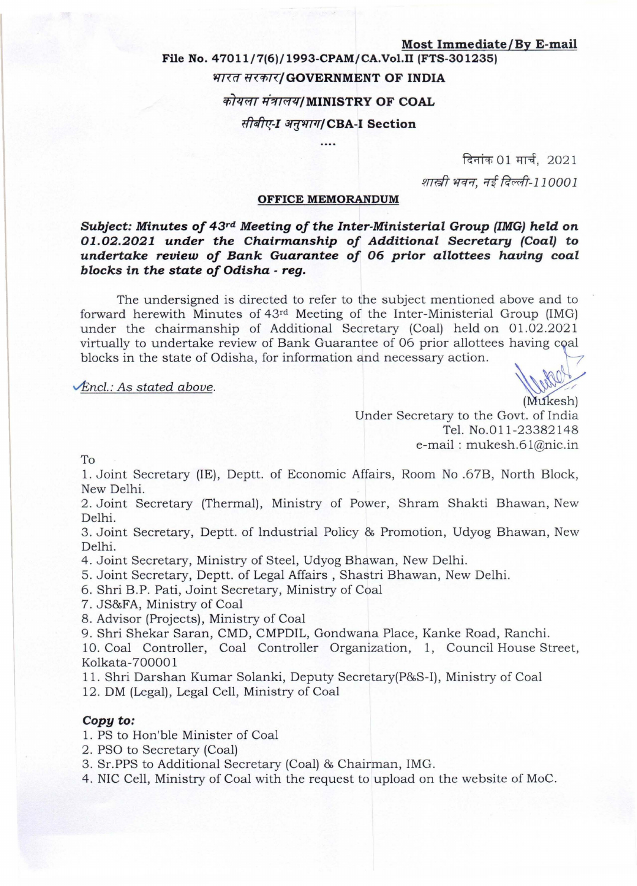#### **Most Immediate/By E-mail**

# **File No. 47011/7(6)/1993-CPAM/CA.Vo1.I1 (FTS-301235)**  भारत सरकार/GOVERNMENT OF INDIA  $\vec{n}$ *यला मंत्रालय|*MINISTRY OF COAL *सीबीए-I अनुभाग*/CBA-I Section

दिनांक 01 मार्च,  $2021$ शास्त्री भवन, नई दिल्ली-110001

#### **OFFICE MEMORANDUM**

*Subject: Minutes of 43***rd** *Meeting of the Inter-Ministerial Group (IMG) held* **on**  *01.02.2021 under the Chairmanship of Additional Secretary (Coal)* **to**  *undertake review of Bank Guarantee of* **06** *prior allottees having coal blocks* **in** *the state of Odisha* **-** *reg.* 

The undersigned is directed to refer to the subject mentioned above and to forward herewith Minutes of 43rd Meeting of the Inter-Ministerial Group (IMG) under the chairmanship of Additional Secretary (Coal) held on 01.02.2021 virtually to undertake review of Bank Guarantee of 06 prior allottees having coal blocks in the state of Odisha, for information and necessary action.

# *<u><i>vEncl.: As stated above.* (Multiplest)</u>

Under Secretary to the Govt. of India Tel. No.011-23382148 e-mail: mukesh.61@nic.in

To

1. Joint Secretary (IE), Deptt. of Economic Affairs, Room No .67B, North Block, New Delhi.

2. Joint Secretary (Thermal), Ministry of Power, Shram Shakti Bhawan, New Delhi.

3 . Joint Secretary, Deptt. of Industrial Policy & Promotion, Udyog Bhawan, New Delhi.

4. Joint Secretary, Ministry of Steel, Udyog Bhawan, New Delhi.

5. Joint Secretary, Deptt. of Legal Affairs , Shastri Bhawan, New Delhi.

6. Shri B.P. Pati, Joint Secretary, Ministry of Coal

7. JS&FA, Ministry of Coal

8. Advisor (Projects), Ministry of Coal

9. Shri Shekar Saran, CMD, CMPDIL, Gondwana Place, Kanke Road, Ranchi.

10. Coal Controller, Coal Controller Organization, 1, Council House Street, Kolkata-70000 1

11. Shri Darshan Kumar Solanki, Deputy Secretary(P&S-I), Ministry of Coal

12. DM (Legal), Legal Cell, Ministry of Coal

#### *Copy to:*

1. PS to Hon'ble Minister of Coal

2. PSO to Secretary (Coal)

3. Sr.PPS to Additional Secretary (Coal) & Chairman, IMG.

4. NIC Cell, Ministry of Coal with the request to upload on the website of MoC.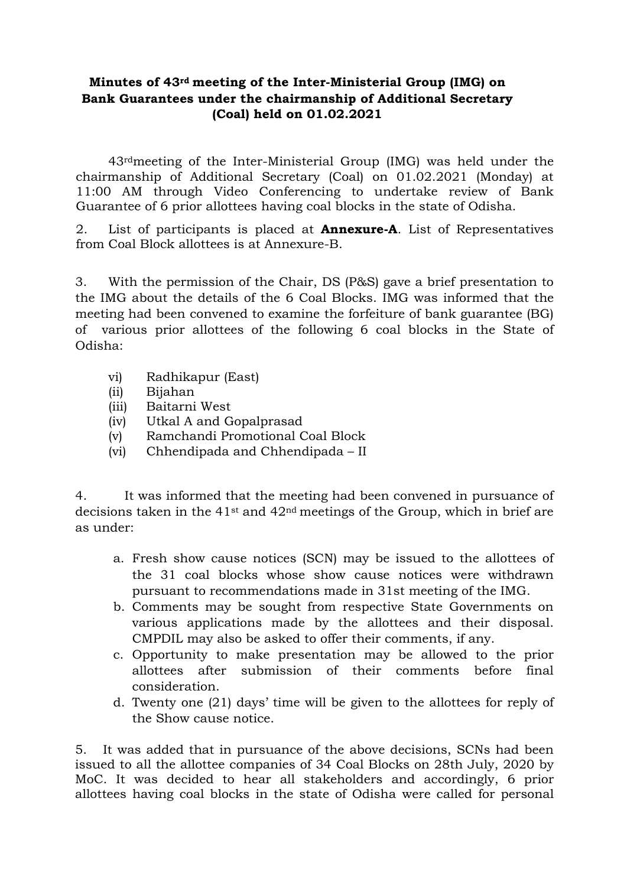### **Minutes of 43rd meeting of the Inter-Ministerial Group (IMG) on Bank Guarantees under the chairmanship of Additional Secretary (Coal) held on 01.02.2021**

43rdmeeting of the Inter-Ministerial Group (IMG) was held under the chairmanship of Additional Secretary (Coal) on 01.02.2021 (Monday) at 11:00 AM through Video Conferencing to undertake review of Bank Guarantee of 6 prior allottees having coal blocks in the state of Odisha.

2. List of participants is placed at **Annexure-A**. List of Representatives from Coal Block allottees is at Annexure-B.

3. With the permission of the Chair, DS (P&S) gave a brief presentation to the IMG about the details of the 6 Coal Blocks. IMG was informed that the meeting had been convened to examine the forfeiture of bank guarantee (BG) of various prior allottees of the following 6 coal blocks in the State of Odisha:

- vi) Radhikapur (East)
- (ii) Bijahan
- (iii) Baitarni West
- (iv) Utkal A and Gopalprasad
- (v) Ramchandi Promotional Coal Block
- (vi) Chhendipada and Chhendipada II

4. It was informed that the meeting had been convened in pursuance of decisions taken in the  $41<sup>st</sup>$  and  $42<sup>nd</sup>$  meetings of the Group, which in brief are as under:

- a. Fresh show cause notices (SCN) may be issued to the allottees of the 31 coal blocks whose show cause notices were withdrawn pursuant to recommendations made in 31st meeting of the IMG.
- b. Comments may be sought from respective State Governments on various applications made by the allottees and their disposal. CMPDIL may also be asked to offer their comments, if any.
- c. Opportunity to make presentation may be allowed to the prior allottees after submission of their comments before final consideration.
- d. Twenty one (21) days' time will be given to the allottees for reply of the Show cause notice.

5. It was added that in pursuance of the above decisions, SCNs had been issued to all the allottee companies of 34 Coal Blocks on 28th July, 2020 by MoC. It was decided to hear all stakeholders and accordingly, 6 prior allottees having coal blocks in the state of Odisha were called for personal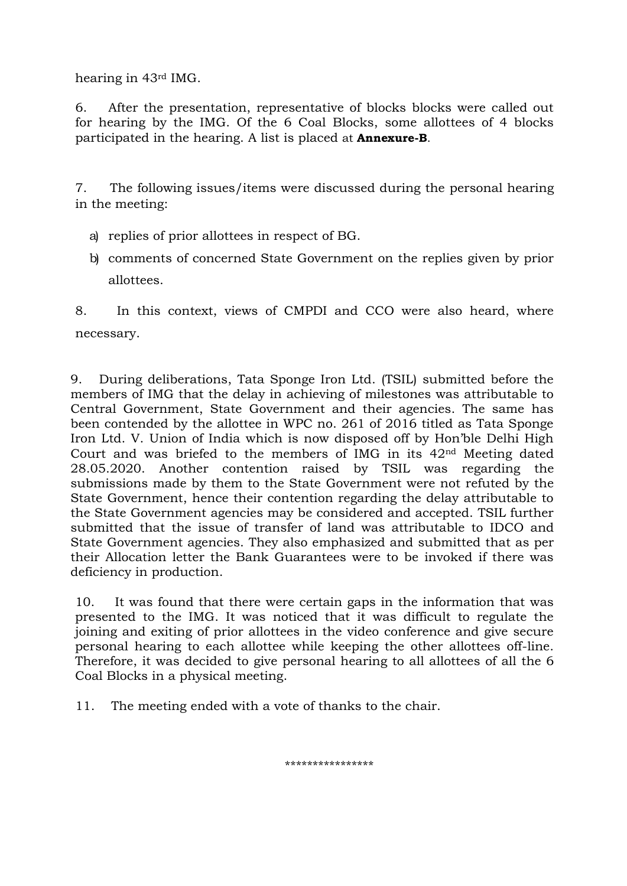hearing in 43rd IMG.

6. After the presentation, representative of blocks blocks were called out for hearing by the IMG. Of the 6 Coal Blocks, some allottees of 4 blocks participated in the hearing. A list is placed at **Annexure-B**.

7. The following issues/items were discussed during the personal hearing in the meeting:

- a) replies of prior allottees in respect of BG.
- b) comments of concerned State Government on the replies given by prior allottees.

8. In this context, views of CMPDI and CCO were also heard, where necessary.

9. During deliberations, Tata Sponge Iron Ltd. (TSIL) submitted before the members of IMG that the delay in achieving of milestones was attributable to Central Government, State Government and their agencies. The same has been contended by the allottee in WPC no. 261 of 2016 titled as Tata Sponge Iron Ltd. V. Union of India which is now disposed off by Hon'ble Delhi High Court and was briefed to the members of IMG in its 42nd Meeting dated 28.05.2020. Another contention raised by TSIL was regarding the submissions made by them to the State Government were not refuted by the State Government, hence their contention regarding the delay attributable to the State Government agencies may be considered and accepted. TSIL further submitted that the issue of transfer of land was attributable to IDCO and State Government agencies. They also emphasized and submitted that as per their Allocation letter the Bank Guarantees were to be invoked if there was deficiency in production.

10. It was found that there were certain gaps in the information that was presented to the IMG. It was noticed that it was difficult to regulate the joining and exiting of prior allottees in the video conference and give secure personal hearing to each allottee while keeping the other allottees off-line. Therefore, it was decided to give personal hearing to all allottees of all the 6 Coal Blocks in a physical meeting.

11. The meeting ended with a vote of thanks to the chair.

\*\*\*\*\*\*\*\*\*\*\*\*\*\*\*\*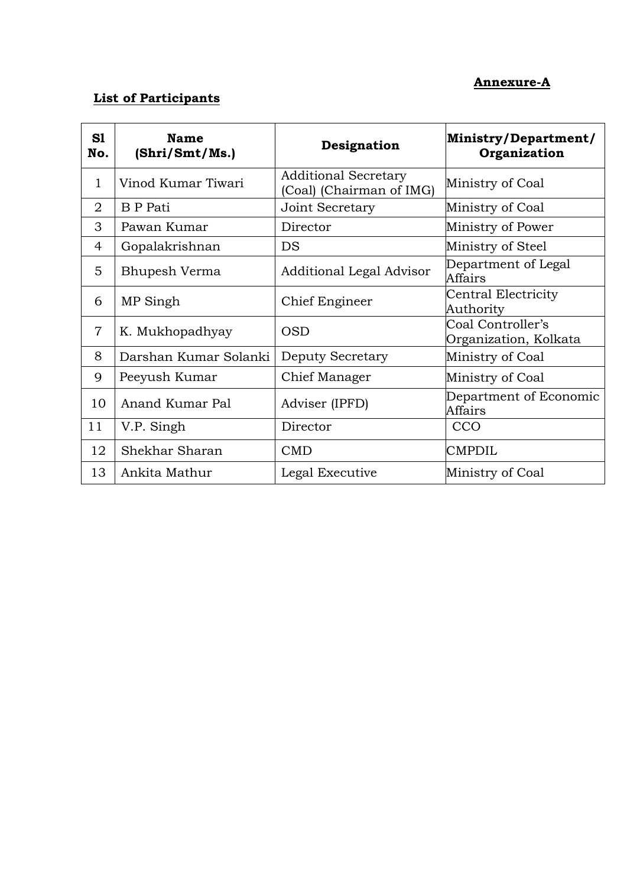### **Annexure-A**

## **List of Participants**

| S1<br>No.      | <b>Name</b><br>(Shri/Smt/Ms.) | Designation                                             | Ministry/Department/<br>Organization       |
|----------------|-------------------------------|---------------------------------------------------------|--------------------------------------------|
| $\mathbf{1}$   | Vinod Kumar Tiwari            | <b>Additional Secretary</b><br>(Coal) (Chairman of IMG) | Ministry of Coal                           |
| $\overline{2}$ | <b>B</b> P Pati               | Joint Secretary                                         | Ministry of Coal                           |
| 3              | Pawan Kumar                   | Director                                                | Ministry of Power                          |
| 4              | Gopalakrishnan                | <b>DS</b>                                               | Ministry of Steel                          |
| 5              | Bhupesh Verma                 | Additional Legal Advisor                                | Department of Legal<br>Affairs             |
| 6              | MP Singh                      | Chief Engineer                                          | Central Electricity<br>Authority           |
| $\overline{7}$ | K. Mukhopadhyay               | <b>OSD</b>                                              | Coal Controller's<br>Organization, Kolkata |
| 8              | Darshan Kumar Solanki         | Deputy Secretary                                        | Ministry of Coal                           |
| 9              | Peeyush Kumar                 | Chief Manager                                           | Ministry of Coal                           |
| 10             | Anand Kumar Pal               | Adviser (IPFD)                                          | Department of Economic<br>Affairs          |
| 11             | V.P. Singh                    | Director                                                | CCO                                        |
| 12             | Shekhar Sharan                | <b>CMD</b>                                              | <b>CMPDIL</b>                              |
| 13             | Ankita Mathur                 | Legal Executive                                         | Ministry of Coal                           |